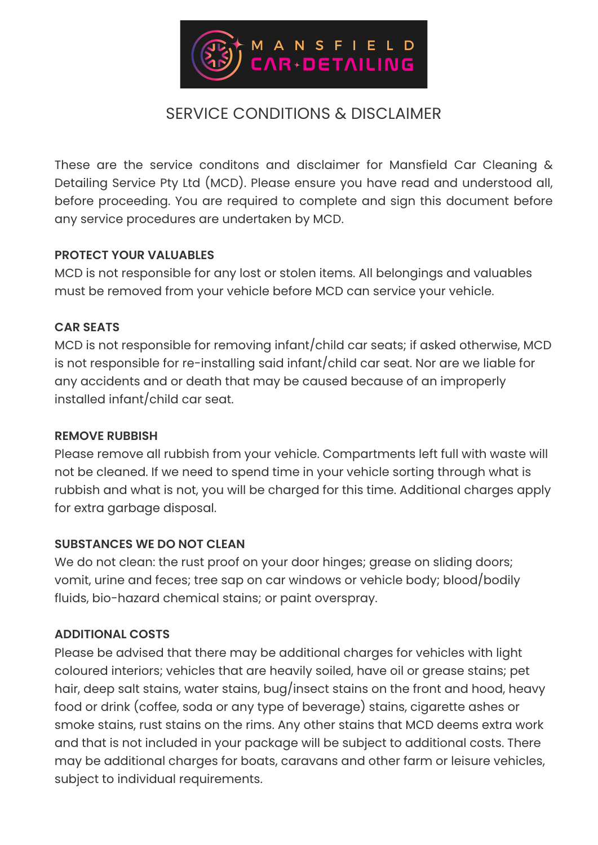

# SERVICE CONDITIONS & DISCLAIMER

These are the service conditons and disclaimer for Mansfield Car Cleaning & Detailing Service Pty Ltd (MCD). Please ensure you have read and understood all, before proceeding. You are required to complete and sign this document before any service procedures are undertaken by MCD.

#### **PROTECT YOUR VALUABLES**

MCD is not responsible for any lost or stolen items. All belongings and valuables must be removed from your vehicle before MCD can service your vehicle.

### **CAR SEATS**

MCD is not responsible for removing infant/child car seats; if asked otherwise, MCD is not responsible for re-installing said infant/child car seat. Nor are we liable for any accidents and or death that may be caused because of an improperly installed infant/child car seat.

#### **REMOVE RUBBISH**

Please remove all rubbish from your vehicle. Compartments left full with waste will not be cleaned. If we need to spend time in your vehicle sorting through what is rubbish and what is not, you will be charged for this time. Additional charges apply for extra garbage disposal.

#### **SUBSTANCES WE DO NOT CLEAN**

We do not clean: the rust proof on your door hinges; grease on sliding doors; vomit, urine and feces; tree sap on car windows or vehicle body; blood/bodily fluids, bio-hazard chemical stains; or paint overspray.

### **ADDITIONAL COSTS**

Please be advised that there may be additional charges for vehicles with light coloured interiors; vehicles that are heavily soiled, have oil or grease stains; pet hair, deep salt stains, water stains, bug/insect stains on the front and hood, heavy food or drink (coffee, soda or any type of beverage) stains, cigarette ashes or smoke stains, rust stains on the rims. Any other stains that MCD deems extra work and that is not included in your package will be subject to additional costs. There may be additional charges for boats, caravans and other farm or leisure vehicles, subject to individual requirements.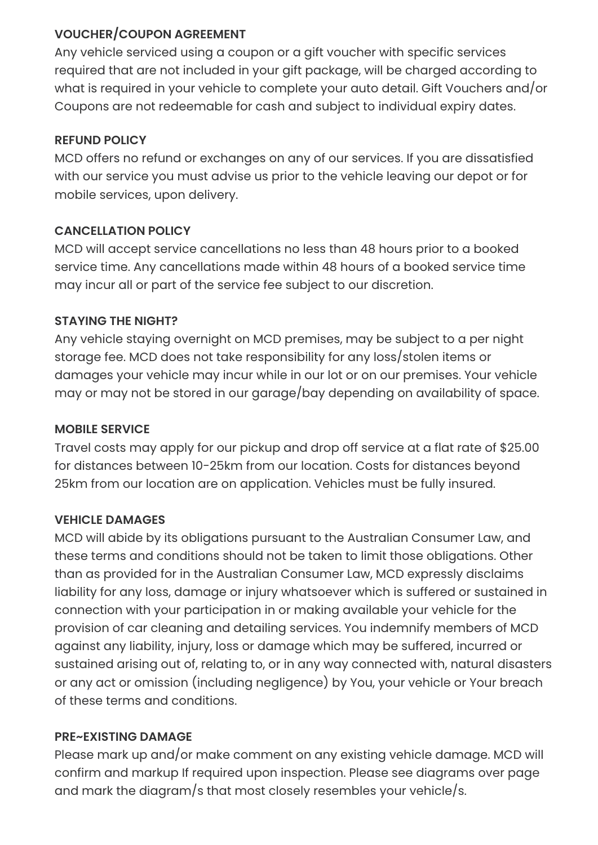# **VOUCHER/COUPON AGREEMENT**

Any vehicle serviced using a coupon or a gift voucher with specific services required that are not included in your gift package, will be charged according to what is required in your vehicle to complete your auto detail. Gift Vouchers and/or Coupons are not redeemable for cash and subject to individual expiry dates.

### **REFUND POLICY**

MCD offers no refund or exchanges on any of our services. If you are dissatisfied with our service you must advise us prior to the vehicle leaving our depot or for mobile services, upon delivery.

# **CANCELLATION POLICY**

MCD will accept service cancellations no less than 48 hours prior to a booked service time. Any cancellations made within 48 hours of a booked service time may incur all or part of the service fee subject to our discretion.

# **STAYING THE NIGHT?**

Any vehicle staying overnight on MCD premises, may be subject to a per night storage fee. MCD does not take responsibility for any loss/stolen items or damages your vehicle may incur while in our lot or on our premises. Your vehicle may or may not be stored in our garage/bay depending on availability of space.

### **MOBILE SERVICE**

Travel costs may apply for our pickup and drop off service at a flat rate of \$25.00 for distances between 10-25km from our location. Costs for distances beyond 25km from our location are on application. Vehicles must be fully insured.

### **VEHICLE DAMAGES**

MCD will abide by its obligations pursuant to the Australian Consumer Law, and these terms and conditions should not be taken to limit those obligations. Other than as provided for in the Australian Consumer Law, MCD expressly disclaims liability for any loss, damage or injury whatsoever which is suffered or sustained in connection with your participation in or making available your vehicle for the provision of car cleaning and detailing services. You indemnify members of MCD against any liability, injury, loss or damage which may be suffered, incurred or sustained arising out of, relating to, or in any way connected with, natural disasters or any act or omission (including negligence) by You, your vehicle or Your breach of these terms and conditions.

### **PRE~EXISTING DAMAGE**

Please mark up and/or make comment on any existing vehicle damage. MCD will confirm and markup If required upon inspection. Please see diagrams over page and mark the diagram/s that most closely resembles your vehicle/s.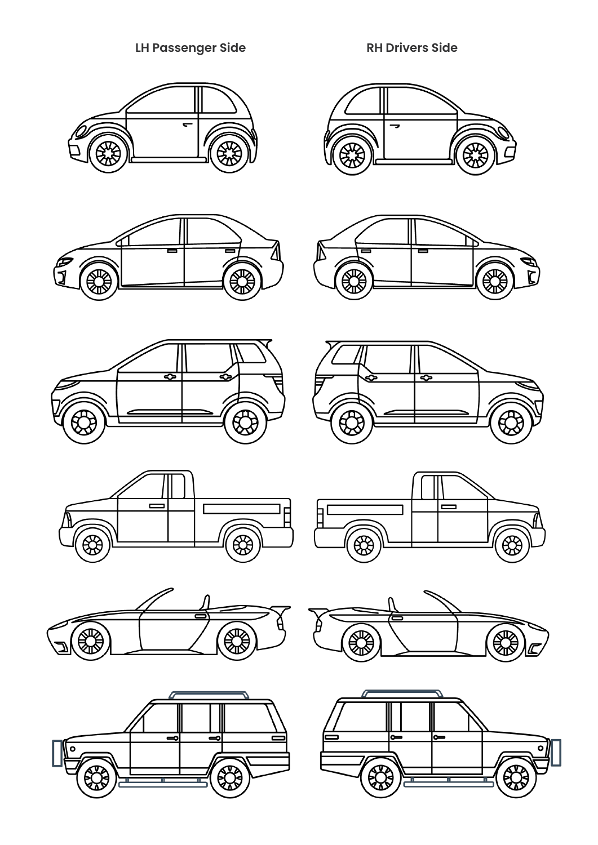